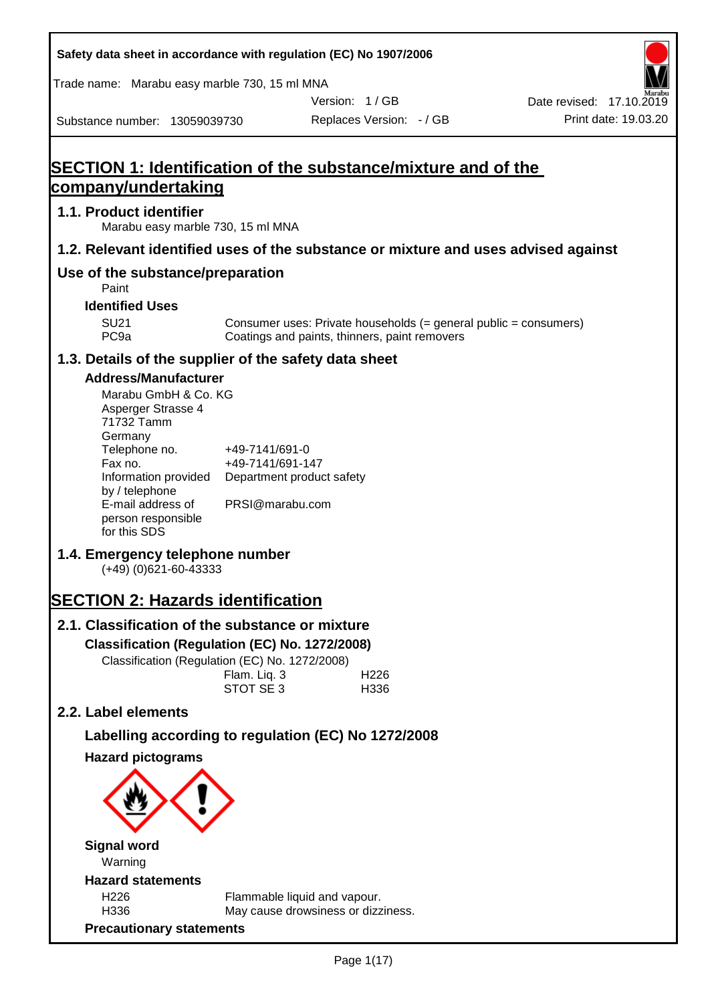| Safety data sheet in accordance with regulation (EC) No 1907/2006                                                                                                                                                                   |                                                                                    |                                                                                                                   |                                                  |
|-------------------------------------------------------------------------------------------------------------------------------------------------------------------------------------------------------------------------------------|------------------------------------------------------------------------------------|-------------------------------------------------------------------------------------------------------------------|--------------------------------------------------|
| Trade name: Marabu easy marble 730, 15 ml MNA                                                                                                                                                                                       |                                                                                    |                                                                                                                   |                                                  |
| Substance number: 13059039730                                                                                                                                                                                                       |                                                                                    | Version: 1/GB<br>Replaces Version: - / GB                                                                         | Date revised: 17.10.2019<br>Print date: 19.03.20 |
| <b>SECTION 1: Identification of the substance/mixture and of the</b>                                                                                                                                                                |                                                                                    |                                                                                                                   |                                                  |
| company/undertaking                                                                                                                                                                                                                 |                                                                                    |                                                                                                                   |                                                  |
| 1.1. Product identifier<br>Marabu easy marble 730, 15 ml MNA                                                                                                                                                                        |                                                                                    |                                                                                                                   |                                                  |
| 1.2. Relevant identified uses of the substance or mixture and uses advised against                                                                                                                                                  |                                                                                    |                                                                                                                   |                                                  |
| Use of the substance/preparation<br>Paint                                                                                                                                                                                           |                                                                                    |                                                                                                                   |                                                  |
| <b>Identified Uses</b>                                                                                                                                                                                                              |                                                                                    |                                                                                                                   |                                                  |
| <b>SU21</b><br>PC <sub>9a</sub>                                                                                                                                                                                                     |                                                                                    | Consumer uses: Private households (= general public = consumers)<br>Coatings and paints, thinners, paint removers |                                                  |
| 1.3. Details of the supplier of the safety data sheet                                                                                                                                                                               |                                                                                    |                                                                                                                   |                                                  |
| <b>Address/Manufacturer</b><br>Marabu GmbH & Co. KG<br>Asperger Strasse 4<br>71732 Tamm<br>Germany<br>Telephone no.<br>Fax no.<br>Information provided<br>by / telephone<br>E-mail address of<br>person responsible<br>for this SDS | +49-7141/691-0<br>+49-7141/691-147<br>Department product safety<br>PRSI@marabu.com |                                                                                                                   |                                                  |
| 1.4. Emergency telephone number<br>$(+49)$ (0)621-60-43333                                                                                                                                                                          |                                                                                    |                                                                                                                   |                                                  |
| <b>SECTION 2: Hazards identification</b>                                                                                                                                                                                            |                                                                                    |                                                                                                                   |                                                  |
| 2.1. Classification of the substance or mixture<br>Classification (Regulation (EC) No. 1272/2008)<br>Classification (Regulation (EC) No. 1272/2008)                                                                                 | Flam. Liq. 3<br>STOT SE 3                                                          | H <sub>226</sub><br>H336                                                                                          |                                                  |
| 2.2. Label elements                                                                                                                                                                                                                 |                                                                                    |                                                                                                                   |                                                  |
| Labelling according to regulation (EC) No 1272/2008                                                                                                                                                                                 |                                                                                    |                                                                                                                   |                                                  |
| <b>Hazard pictograms</b>                                                                                                                                                                                                            |                                                                                    |                                                                                                                   |                                                  |
| <b>Signal word</b><br>Warning                                                                                                                                                                                                       |                                                                                    |                                                                                                                   |                                                  |
| <b>Hazard statements</b>                                                                                                                                                                                                            |                                                                                    |                                                                                                                   |                                                  |
| H226<br>H336                                                                                                                                                                                                                        |                                                                                    | Flammable liquid and vapour.<br>May cause drowsiness or dizziness.                                                |                                                  |
| <b>Precautionary statements</b>                                                                                                                                                                                                     |                                                                                    |                                                                                                                   |                                                  |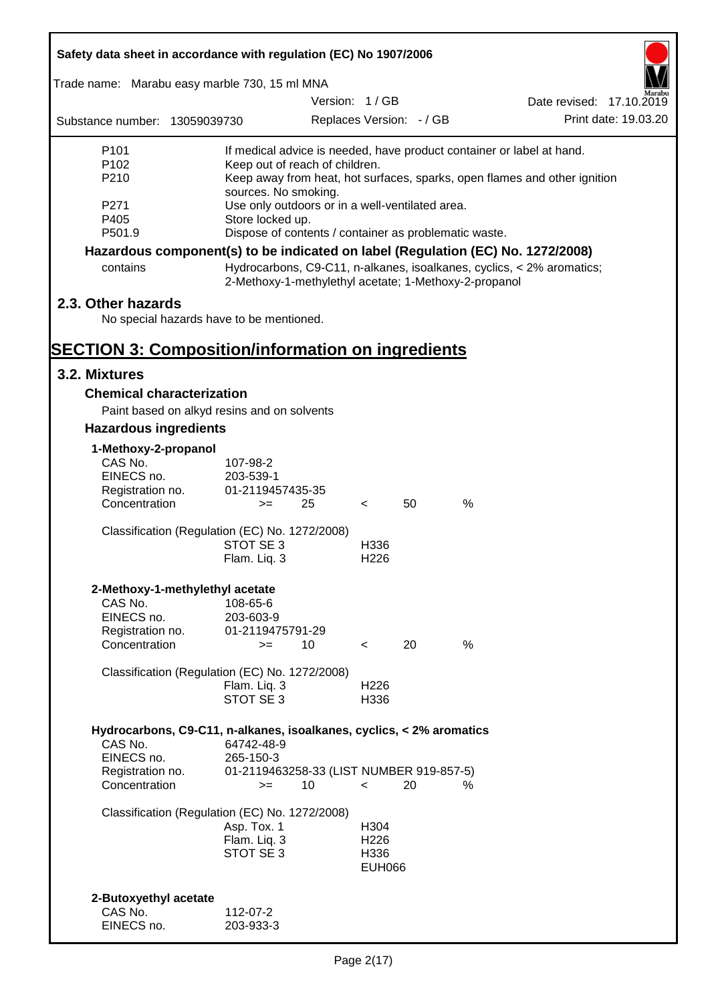| Safety data sheet in accordance with regulation (EC) No 1907/2006               |                                                       |               |                          |                          |      |                                                                           |
|---------------------------------------------------------------------------------|-------------------------------------------------------|---------------|--------------------------|--------------------------|------|---------------------------------------------------------------------------|
| Trade name: Marabu easy marble 730, 15 ml MNA                                   |                                                       |               |                          |                          |      |                                                                           |
|                                                                                 |                                                       | Version: 1/GB |                          |                          |      | Date revised: 17.10.2019                                                  |
| Substance number: 13059039730                                                   |                                                       |               |                          | Replaces Version: - / GB |      | Print date: 19.03.20                                                      |
| P <sub>101</sub>                                                                |                                                       |               |                          |                          |      | If medical advice is needed, have product container or label at hand.     |
| P <sub>102</sub>                                                                | Keep out of reach of children.                        |               |                          |                          |      |                                                                           |
| P210                                                                            | sources. No smoking.                                  |               |                          |                          |      | Keep away from heat, hot surfaces, sparks, open flames and other ignition |
| P271                                                                            | Use only outdoors or in a well-ventilated area.       |               |                          |                          |      |                                                                           |
| P405                                                                            | Store locked up.                                      |               |                          |                          |      |                                                                           |
| P501.9                                                                          | Dispose of contents / container as problematic waste. |               |                          |                          |      |                                                                           |
| Hazardous component(s) to be indicated on label (Regulation (EC) No. 1272/2008) |                                                       |               |                          |                          |      |                                                                           |
| contains                                                                        | 2-Methoxy-1-methylethyl acetate; 1-Methoxy-2-propanol |               |                          |                          |      | Hydrocarbons, C9-C11, n-alkanes, isoalkanes, cyclics, < 2% aromatics;     |
| 2.3. Other hazards                                                              |                                                       |               |                          |                          |      |                                                                           |
| No special hazards have to be mentioned.                                        |                                                       |               |                          |                          |      |                                                                           |
| <b>SECTION 3: Composition/information on ingredients</b>                        |                                                       |               |                          |                          |      |                                                                           |
| 3.2. Mixtures                                                                   |                                                       |               |                          |                          |      |                                                                           |
| <b>Chemical characterization</b>                                                |                                                       |               |                          |                          |      |                                                                           |
| Paint based on alkyd resins and on solvents                                     |                                                       |               |                          |                          |      |                                                                           |
| <b>Hazardous ingredients</b>                                                    |                                                       |               |                          |                          |      |                                                                           |
| 1-Methoxy-2-propanol                                                            |                                                       |               |                          |                          |      |                                                                           |
| CAS No.                                                                         | 107-98-2                                              |               |                          |                          |      |                                                                           |
| EINECS no.                                                                      | 203-539-1                                             |               |                          |                          |      |                                                                           |
| Registration no.<br>Concentration                                               | 01-2119457435-35<br>$>=$                              | 25            | $\lt$                    | 50                       | $\%$ |                                                                           |
|                                                                                 |                                                       |               |                          |                          |      |                                                                           |
| Classification (Regulation (EC) No. 1272/2008)                                  |                                                       |               |                          |                          |      |                                                                           |
|                                                                                 | STOT SE 3                                             |               | H336                     |                          |      |                                                                           |
|                                                                                 | Flam. Liq. 3                                          |               | H <sub>226</sub>         |                          |      |                                                                           |
| 2-Methoxy-1-methylethyl acetate                                                 |                                                       |               |                          |                          |      |                                                                           |
| CAS No.                                                                         | 108-65-6                                              |               |                          |                          |      |                                                                           |
| EINECS no.                                                                      | 203-603-9                                             |               |                          |                          |      |                                                                           |
| Registration no.                                                                | 01-2119475791-29                                      |               |                          |                          |      |                                                                           |
| Concentration                                                                   | $>=$                                                  | 10            | $\prec$                  | 20                       | %    |                                                                           |
| Classification (Regulation (EC) No. 1272/2008)                                  |                                                       |               |                          |                          |      |                                                                           |
|                                                                                 | Flam. Liq. 3                                          |               | H <sub>226</sub>         |                          |      |                                                                           |
|                                                                                 | STOT SE 3                                             |               | H336                     |                          |      |                                                                           |
| Hydrocarbons, C9-C11, n-alkanes, isoalkanes, cyclics, < 2% aromatics            |                                                       |               |                          |                          |      |                                                                           |
| CAS No.                                                                         | 64742-48-9                                            |               |                          |                          |      |                                                                           |
| EINECS no.                                                                      | 265-150-3                                             |               |                          |                          |      |                                                                           |
| Registration no.<br>Concentration                                               | 01-2119463258-33 (LIST NUMBER 919-857-5)<br>$>=$      | 10            | $\prec$                  | 20                       | %    |                                                                           |
|                                                                                 |                                                       |               |                          |                          |      |                                                                           |
| Classification (Regulation (EC) No. 1272/2008)                                  |                                                       |               |                          |                          |      |                                                                           |
|                                                                                 | Asp. Tox. 1                                           |               | H304                     |                          |      |                                                                           |
|                                                                                 | Flam. Liq. 3<br>STOT SE 3                             |               | H <sub>226</sub><br>H336 |                          |      |                                                                           |
|                                                                                 |                                                       |               | <b>EUH066</b>            |                          |      |                                                                           |
|                                                                                 |                                                       |               |                          |                          |      |                                                                           |
| 2-Butoxyethyl acetate                                                           |                                                       |               |                          |                          |      |                                                                           |
| CAS No.                                                                         | 112-07-2                                              |               |                          |                          |      |                                                                           |
| EINECS no.                                                                      | 203-933-3                                             |               |                          |                          |      |                                                                           |

Г

 $\overline{\mathbf{1}}$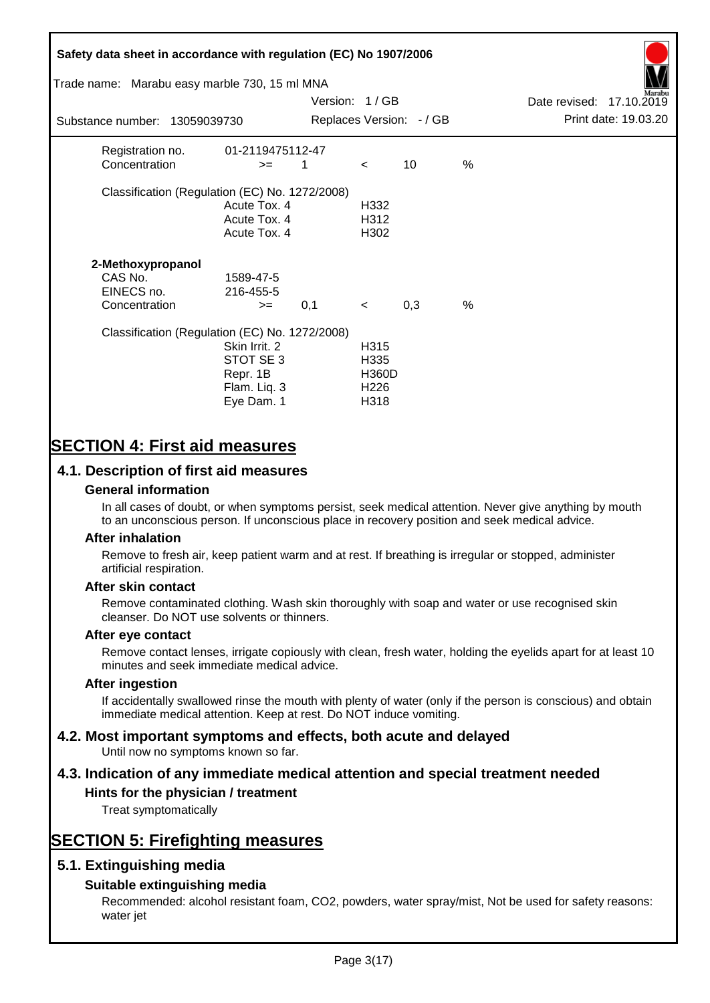# **Safety data sheet in accordance with regulation (EC) No 1907/2006** Substance number: 13059039730 Version: 1 / GB Replaces Version:  $-$  / GB Print date: 19.03.20 Date revised: 17.10.2019 Trade name: Marabu easy marble 730, 15 ml MNA Registration no. 01-2119475112-47  $\text{Concentration}$   $\geq$  1 < 10 % Classification (Regulation (EC) No. 1272/2008) Acute Tox. 4 H332 Acute Tox. 4 H312 Acute Tox. 4 H302 **2-Methoxypropanol** CAS No. 1589-47-5 EINECS no. 216-455-5  $\text{Concentration}$   $\rightarrow$  0.1 < 0.3 % Classification (Regulation (EC) No. 1272/2008) Skin Irrit. 2 H315 STOT SE 3 H335 Repr. 1B H360D Flam. Liq. 3 H226 Eye Dam. 1 H318

# **SECTION 4: First aid measures**

## **4.1. Description of first aid measures**

#### **General information**

In all cases of doubt, or when symptoms persist, seek medical attention. Never give anything by mouth to an unconscious person. If unconscious place in recovery position and seek medical advice.

#### **After inhalation**

Remove to fresh air, keep patient warm and at rest. If breathing is irregular or stopped, administer artificial respiration.

#### **After skin contact**

Remove contaminated clothing. Wash skin thoroughly with soap and water or use recognised skin cleanser. Do NOT use solvents or thinners.

#### **After eye contact**

Remove contact lenses, irrigate copiously with clean, fresh water, holding the eyelids apart for at least 10 minutes and seek immediate medical advice.

#### **After ingestion**

If accidentally swallowed rinse the mouth with plenty of water (only if the person is conscious) and obtain immediate medical attention. Keep at rest. Do NOT induce vomiting.

# **4.2. Most important symptoms and effects, both acute and delayed**

Until now no symptoms known so far.

# **4.3. Indication of any immediate medical attention and special treatment needed**

### **Hints for the physician / treatment**

Treat symptomatically

# **SECTION 5: Firefighting measures**

### **5.1. Extinguishing media**

### **Suitable extinguishing media**

Recommended: alcohol resistant foam, CO2, powders, water spray/mist, Not be used for safety reasons: water jet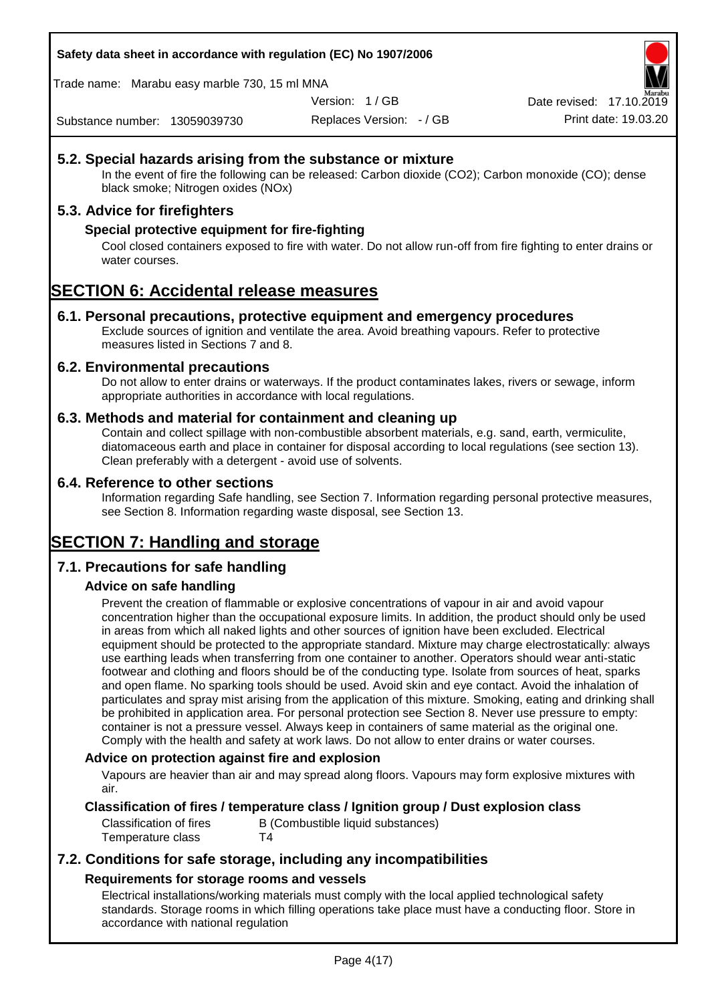**Safety data sheet in accordance with regulation (EC) No 1907/2006**

Trade name: Marabu easy marble 730, 15 ml MNA

Version: 1 / GB

Replaces Version: - / GB Print date: 19.03.20 Date revised: 17.10.2

Substance number: 13059039730

### **5.2. Special hazards arising from the substance or mixture**

In the event of fire the following can be released: Carbon dioxide (CO2); Carbon monoxide (CO); dense black smoke; Nitrogen oxides (NOx)

### **5.3. Advice for firefighters**

#### **Special protective equipment for fire-fighting**

Cool closed containers exposed to fire with water. Do not allow run-off from fire fighting to enter drains or water courses.

# **SECTION 6: Accidental release measures**

#### **6.1. Personal precautions, protective equipment and emergency procedures**

Exclude sources of ignition and ventilate the area. Avoid breathing vapours. Refer to protective measures listed in Sections 7 and 8.

#### **6.2. Environmental precautions**

Do not allow to enter drains or waterways. If the product contaminates lakes, rivers or sewage, inform appropriate authorities in accordance with local regulations.

#### **6.3. Methods and material for containment and cleaning up**

Contain and collect spillage with non-combustible absorbent materials, e.g. sand, earth, vermiculite, diatomaceous earth and place in container for disposal according to local regulations (see section 13). Clean preferably with a detergent - avoid use of solvents.

#### **6.4. Reference to other sections**

Information regarding Safe handling, see Section 7. Information regarding personal protective measures, see Section 8. Information regarding waste disposal, see Section 13.

# **SECTION 7: Handling and storage**

### **7.1. Precautions for safe handling**

### **Advice on safe handling**

Prevent the creation of flammable or explosive concentrations of vapour in air and avoid vapour concentration higher than the occupational exposure limits. In addition, the product should only be used in areas from which all naked lights and other sources of ignition have been excluded. Electrical equipment should be protected to the appropriate standard. Mixture may charge electrostatically: always use earthing leads when transferring from one container to another. Operators should wear anti-static footwear and clothing and floors should be of the conducting type. Isolate from sources of heat, sparks and open flame. No sparking tools should be used. Avoid skin and eye contact. Avoid the inhalation of particulates and spray mist arising from the application of this mixture. Smoking, eating and drinking shall be prohibited in application area. For personal protection see Section 8. Never use pressure to empty: container is not a pressure vessel. Always keep in containers of same material as the original one. Comply with the health and safety at work laws. Do not allow to enter drains or water courses.

#### **Advice on protection against fire and explosion**

Vapours are heavier than air and may spread along floors. Vapours may form explosive mixtures with air.

#### **Classification of fires / temperature class / Ignition group / Dust explosion class**

Classification of fires B (Combustible liquid substances) Temperature class T4

## **7.2. Conditions for safe storage, including any incompatibilities Requirements for storage rooms and vessels**

Electrical installations/working materials must comply with the local applied technological safety standards. Storage rooms in which filling operations take place must have a conducting floor. Store in accordance with national regulation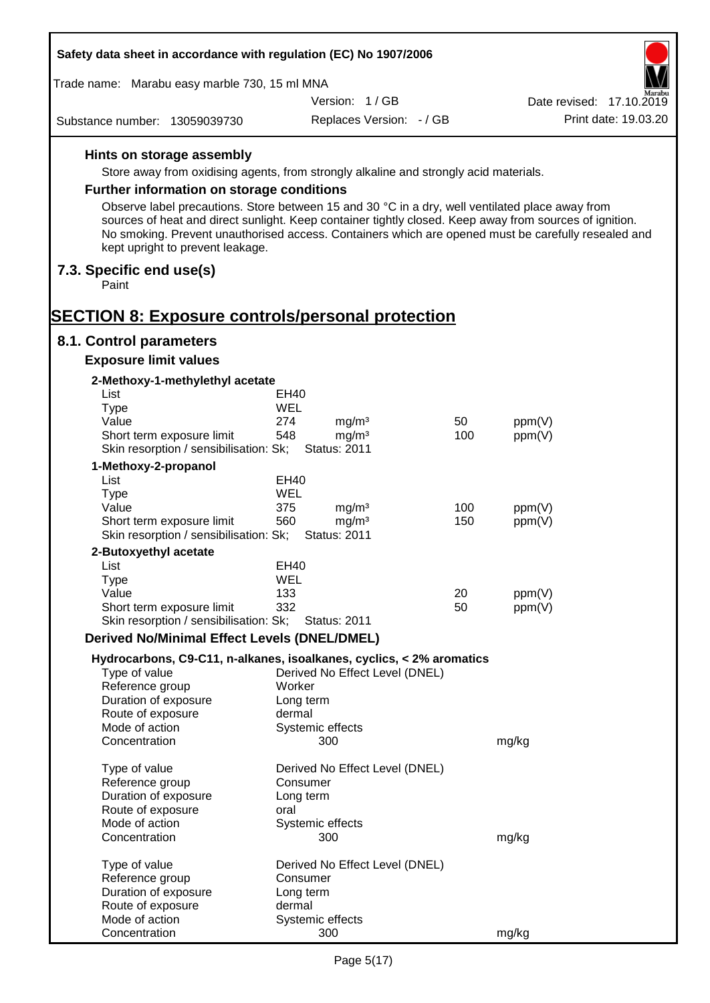| Safety data sheet in accordance with regulation (EC) No 1907/2006                                                                                                                                                                                  |                                            |     |                          |
|----------------------------------------------------------------------------------------------------------------------------------------------------------------------------------------------------------------------------------------------------|--------------------------------------------|-----|--------------------------|
| Trade name: Marabu easy marble 730, 15 ml MNA                                                                                                                                                                                                      |                                            |     |                          |
|                                                                                                                                                                                                                                                    | Version: 1/GB                              |     | Date revised: 17.10.2019 |
| Substance number: 13059039730                                                                                                                                                                                                                      | Replaces Version: - / GB                   |     | Print date: 19.03.20     |
| Hints on storage assembly                                                                                                                                                                                                                          |                                            |     |                          |
| Store away from oxidising agents, from strongly alkaline and strongly acid materials.                                                                                                                                                              |                                            |     |                          |
| Further information on storage conditions                                                                                                                                                                                                          |                                            |     |                          |
| Observe label precautions. Store between 15 and 30 °C in a dry, well ventilated place away from                                                                                                                                                    |                                            |     |                          |
| sources of heat and direct sunlight. Keep container tightly closed. Keep away from sources of ignition.<br>No smoking. Prevent unauthorised access. Containers which are opened must be carefully resealed and<br>kept upright to prevent leakage. |                                            |     |                          |
| 7.3. Specific end use(s)<br>Paint                                                                                                                                                                                                                  |                                            |     |                          |
|                                                                                                                                                                                                                                                    |                                            |     |                          |
| <b>SECTION 8: Exposure controls/personal protection</b>                                                                                                                                                                                            |                                            |     |                          |
| 8.1. Control parameters<br><b>Exposure limit values</b>                                                                                                                                                                                            |                                            |     |                          |
| 2-Methoxy-1-methylethyl acetate                                                                                                                                                                                                                    |                                            |     |                          |
| List                                                                                                                                                                                                                                               | EH40                                       |     |                          |
| <b>Type</b>                                                                                                                                                                                                                                        | WEL                                        |     |                          |
| Value                                                                                                                                                                                                                                              | 274<br>mg/m <sup>3</sup>                   | 50  | ppm(V)                   |
| Short term exposure limit                                                                                                                                                                                                                          | 548<br>mg/m <sup>3</sup>                   | 100 | ppm(V)                   |
| Skin resorption / sensibilisation: Sk;                                                                                                                                                                                                             | <b>Status: 2011</b>                        |     |                          |
| 1-Methoxy-2-propanol<br>List                                                                                                                                                                                                                       | <b>EH40</b>                                |     |                          |
| <b>Type</b>                                                                                                                                                                                                                                        | WEL                                        |     |                          |
| Value                                                                                                                                                                                                                                              | 375<br>mg/m <sup>3</sup>                   | 100 | ppm(V)                   |
| Short term exposure limit                                                                                                                                                                                                                          | 560<br>mg/m <sup>3</sup>                   | 150 | ppm(V)                   |
| Skin resorption / sensibilisation: Sk;                                                                                                                                                                                                             | <b>Status: 2011</b>                        |     |                          |
| 2-Butoxyethyl acetate                                                                                                                                                                                                                              |                                            |     |                          |
| List                                                                                                                                                                                                                                               | EH40                                       |     |                          |
| Type<br>Value                                                                                                                                                                                                                                      | WEL<br>133                                 | 20  | ppm(V)                   |
| Short term exposure limit                                                                                                                                                                                                                          | 332                                        | 50  | ppm(V)                   |
| Skin resorption / sensibilisation: Sk;                                                                                                                                                                                                             | <b>Status: 2011</b>                        |     |                          |
| <b>Derived No/Minimal Effect Levels (DNEL/DMEL)</b>                                                                                                                                                                                                |                                            |     |                          |
| Hydrocarbons, C9-C11, n-alkanes, isoalkanes, cyclics, < 2% aromatics                                                                                                                                                                               |                                            |     |                          |
| Type of value                                                                                                                                                                                                                                      | Derived No Effect Level (DNEL)             |     |                          |
| Reference group<br>Duration of exposure                                                                                                                                                                                                            | Worker<br>Long term                        |     |                          |
| Route of exposure                                                                                                                                                                                                                                  | dermal                                     |     |                          |
| Mode of action                                                                                                                                                                                                                                     | Systemic effects                           |     |                          |
| Concentration                                                                                                                                                                                                                                      | 300                                        |     | mg/kg                    |
| Type of value                                                                                                                                                                                                                                      | Derived No Effect Level (DNEL)             |     |                          |
| Reference group                                                                                                                                                                                                                                    | Consumer                                   |     |                          |
| Duration of exposure                                                                                                                                                                                                                               | Long term                                  |     |                          |
| Route of exposure                                                                                                                                                                                                                                  | oral                                       |     |                          |
| Mode of action<br>Concentration                                                                                                                                                                                                                    | Systemic effects<br>300                    |     | mg/kg                    |
|                                                                                                                                                                                                                                                    |                                            |     |                          |
| Type of value<br>Reference group                                                                                                                                                                                                                   | Derived No Effect Level (DNEL)<br>Consumer |     |                          |
| Duration of exposure                                                                                                                                                                                                                               | Long term                                  |     |                          |
| Route of exposure                                                                                                                                                                                                                                  | dermal                                     |     |                          |
| Mode of action                                                                                                                                                                                                                                     | Systemic effects                           |     |                          |
| Concentration                                                                                                                                                                                                                                      | 300                                        |     | mg/kg                    |

Г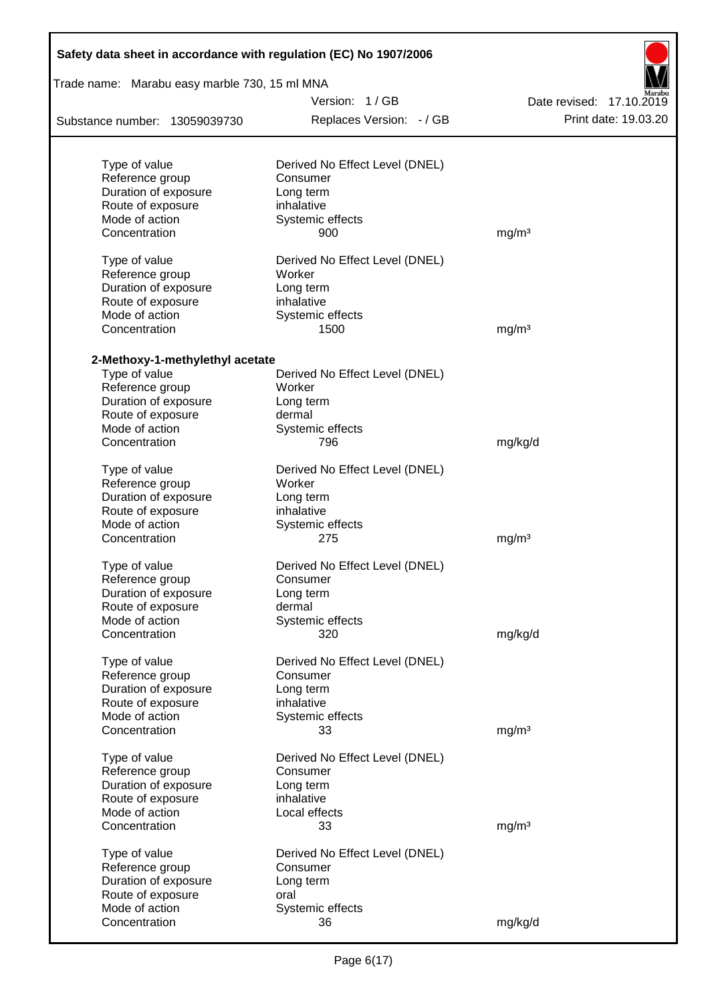| Safety data sheet in accordance with regulation (EC) No 1907/2006 |                                          |                          |
|-------------------------------------------------------------------|------------------------------------------|--------------------------|
| Trade name: Marabu easy marble 730, 15 ml MNA                     |                                          |                          |
|                                                                   | Version: 1/GB                            | Date revised: 17.10.2019 |
| Substance number: 13059039730                                     | Replaces Version: - / GB                 | Print date: 19.03.20     |
| Type of value                                                     | Derived No Effect Level (DNEL)           |                          |
| Reference group                                                   | Consumer                                 |                          |
| Duration of exposure                                              | Long term                                |                          |
| Route of exposure                                                 | inhalative                               |                          |
| Mode of action                                                    | Systemic effects                         |                          |
| Concentration                                                     | 900                                      | mg/m <sup>3</sup>        |
| Type of value<br>Reference group                                  | Derived No Effect Level (DNEL)<br>Worker |                          |
| Duration of exposure                                              | Long term                                |                          |
| Route of exposure                                                 | inhalative                               |                          |
| Mode of action                                                    | Systemic effects                         |                          |
| Concentration                                                     | 1500                                     | mg/m <sup>3</sup>        |
|                                                                   |                                          |                          |
| 2-Methoxy-1-methylethyl acetate<br>Type of value                  | Derived No Effect Level (DNEL)           |                          |
| Reference group                                                   | Worker                                   |                          |
| Duration of exposure                                              | Long term                                |                          |
| Route of exposure                                                 | dermal                                   |                          |
| Mode of action                                                    | Systemic effects                         |                          |
| Concentration                                                     | 796                                      | mg/kg/d                  |
| Type of value                                                     | Derived No Effect Level (DNEL)           |                          |
| Reference group                                                   | Worker                                   |                          |
| Duration of exposure                                              | Long term                                |                          |
| Route of exposure                                                 | inhalative                               |                          |
| Mode of action                                                    | Systemic effects                         |                          |
| Concentration                                                     | 275                                      | mg/m <sup>3</sup>        |
| Type of value                                                     | Derived No Effect Level (DNEL)           |                          |
| Reference group                                                   | Consumer                                 |                          |
| Duration of exposure                                              | Long term                                |                          |
| Route of exposure<br>Mode of action                               | dermal<br>Systemic effects               |                          |
| Concentration                                                     | 320                                      | mg/kg/d                  |
|                                                                   |                                          |                          |
| Type of value                                                     | Derived No Effect Level (DNEL)           |                          |
| Reference group                                                   | Consumer                                 |                          |
| Duration of exposure                                              | Long term                                |                          |
| Route of exposure                                                 | inhalative                               |                          |
| Mode of action                                                    | Systemic effects                         |                          |
| Concentration                                                     | 33                                       | mg/m <sup>3</sup>        |
| Type of value                                                     | Derived No Effect Level (DNEL)           |                          |
| Reference group                                                   | Consumer                                 |                          |
| Duration of exposure                                              | Long term                                |                          |
| Route of exposure                                                 | inhalative                               |                          |
| Mode of action                                                    | Local effects                            |                          |
| Concentration                                                     | 33                                       | mg/m <sup>3</sup>        |
| Type of value                                                     | Derived No Effect Level (DNEL)           |                          |
| Reference group                                                   | Consumer                                 |                          |
| Duration of exposure                                              | Long term                                |                          |
| Route of exposure                                                 | oral                                     |                          |
| Mode of action                                                    | Systemic effects                         |                          |
| Concentration                                                     | 36                                       | mg/kg/d                  |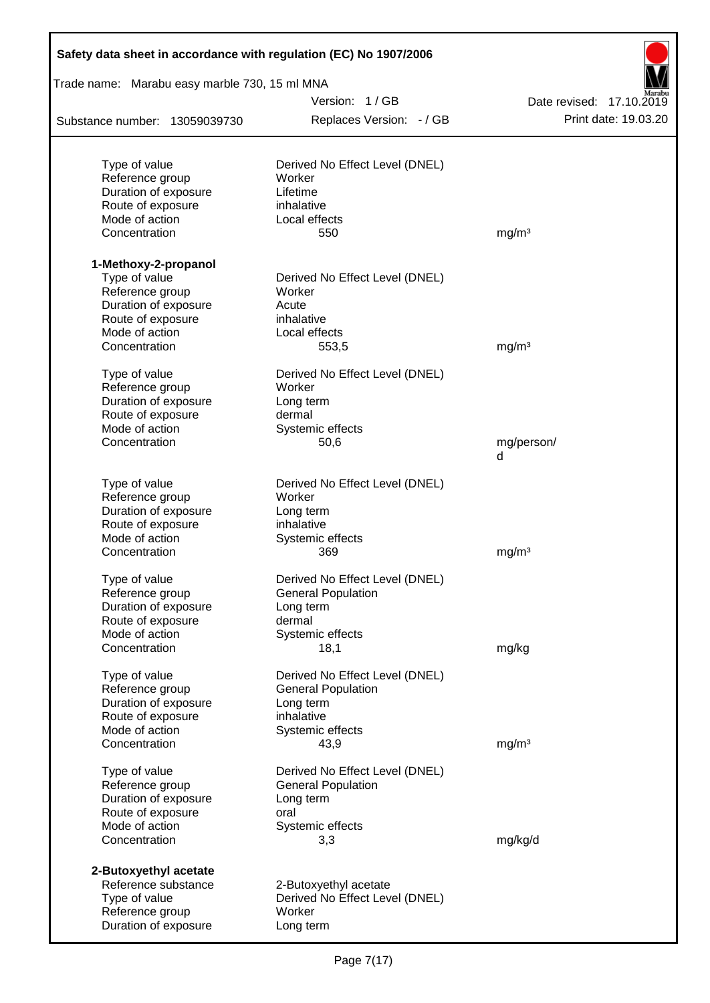| Safety data sheet in accordance with regulation (EC) No 1907/2006 |                                                             |                          |
|-------------------------------------------------------------------|-------------------------------------------------------------|--------------------------|
| Trade name: Marabu easy marble 730, 15 ml MNA                     |                                                             |                          |
|                                                                   | Version: 1/GB                                               | Date revised: 17,10,2019 |
| Substance number: 13059039730                                     | Replaces Version: - / GB                                    | Print date: 19.03.20     |
|                                                                   |                                                             |                          |
| Type of value<br>Reference group                                  | Derived No Effect Level (DNEL)<br>Worker                    |                          |
| Duration of exposure                                              | Lifetime                                                    |                          |
| Route of exposure                                                 | inhalative                                                  |                          |
| Mode of action                                                    | Local effects                                               |                          |
| Concentration                                                     | 550                                                         | mg/m <sup>3</sup>        |
| 1-Methoxy-2-propanol                                              |                                                             |                          |
| Type of value                                                     | Derived No Effect Level (DNEL)                              |                          |
| Reference group                                                   | Worker                                                      |                          |
| Duration of exposure                                              | Acute                                                       |                          |
| Route of exposure                                                 | inhalative                                                  |                          |
| Mode of action                                                    | Local effects                                               |                          |
| Concentration                                                     | 553,5                                                       | mg/m <sup>3</sup>        |
| Type of value                                                     | Derived No Effect Level (DNEL)                              |                          |
| Reference group                                                   | Worker                                                      |                          |
| Duration of exposure                                              | Long term                                                   |                          |
| Route of exposure                                                 | dermal                                                      |                          |
| Mode of action                                                    | Systemic effects                                            |                          |
| Concentration                                                     | 50,6                                                        | mg/person/<br>d          |
|                                                                   |                                                             |                          |
| Type of value                                                     | Derived No Effect Level (DNEL)                              |                          |
| Reference group                                                   | Worker                                                      |                          |
| Duration of exposure                                              | Long term<br>inhalative                                     |                          |
| Route of exposure<br>Mode of action                               |                                                             |                          |
| Concentration                                                     | Systemic effects<br>369                                     |                          |
|                                                                   |                                                             | mg/m <sup>3</sup>        |
| Type of value                                                     | Derived No Effect Level (DNEL)                              |                          |
| Reference group                                                   | <b>General Population</b>                                   |                          |
| Duration of exposure                                              | Long term                                                   |                          |
| Route of exposure                                                 | dermal                                                      |                          |
| Mode of action                                                    | Systemic effects                                            |                          |
| Concentration                                                     | 18,1                                                        | mg/kg                    |
| Type of value                                                     | Derived No Effect Level (DNEL)                              |                          |
| Reference group                                                   | <b>General Population</b>                                   |                          |
| Duration of exposure                                              | Long term                                                   |                          |
| Route of exposure                                                 | inhalative                                                  |                          |
| Mode of action<br>Concentration                                   | Systemic effects<br>43,9                                    | mg/m <sup>3</sup>        |
|                                                                   |                                                             |                          |
| Type of value<br>Reference group                                  | Derived No Effect Level (DNEL)<br><b>General Population</b> |                          |
| Duration of exposure                                              | Long term                                                   |                          |
| Route of exposure                                                 | oral                                                        |                          |
| Mode of action                                                    | Systemic effects                                            |                          |
| Concentration                                                     | 3,3                                                         | mg/kg/d                  |
| 2-Butoxyethyl acetate                                             |                                                             |                          |
| Reference substance                                               | 2-Butoxyethyl acetate                                       |                          |
| Type of value                                                     | Derived No Effect Level (DNEL)                              |                          |
| Reference group                                                   | Worker                                                      |                          |
| Duration of exposure                                              | Long term                                                   |                          |
|                                                                   |                                                             |                          |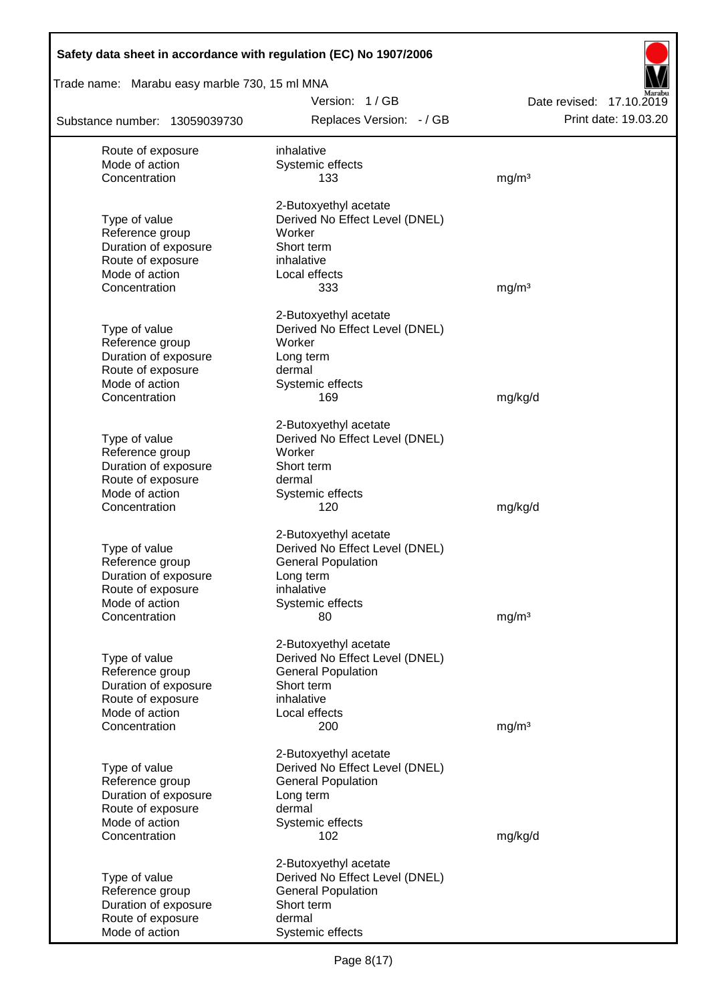| Safety data sheet in accordance with regulation (EC) No 1907/2006 |                                           |                                                  |
|-------------------------------------------------------------------|-------------------------------------------|--------------------------------------------------|
| Trade name: Marabu easy marble 730, 15 ml MNA                     |                                           |                                                  |
| Substance number: 13059039730                                     | Version: 1/GB<br>Replaces Version: - / GB | Date revised: 17.10.2019<br>Print date: 19.03.20 |
| Route of exposure                                                 | inhalative                                |                                                  |
| Mode of action                                                    | Systemic effects                          |                                                  |
| Concentration                                                     | 133                                       | mg/m <sup>3</sup>                                |
|                                                                   | 2-Butoxyethyl acetate                     |                                                  |
| Type of value                                                     | Derived No Effect Level (DNEL)            |                                                  |
| Reference group                                                   | Worker                                    |                                                  |
| Duration of exposure                                              | Short term                                |                                                  |
| Route of exposure                                                 | inhalative                                |                                                  |
| Mode of action<br>Concentration                                   | Local effects<br>333                      | mg/m <sup>3</sup>                                |
|                                                                   |                                           |                                                  |
|                                                                   | 2-Butoxyethyl acetate                     |                                                  |
| Type of value                                                     | Derived No Effect Level (DNEL)            |                                                  |
| Reference group<br>Duration of exposure                           | Worker<br>Long term                       |                                                  |
| Route of exposure                                                 | dermal                                    |                                                  |
| Mode of action                                                    | Systemic effects                          |                                                  |
| Concentration                                                     | 169                                       | mg/kg/d                                          |
|                                                                   | 2-Butoxyethyl acetate                     |                                                  |
| Type of value                                                     | Derived No Effect Level (DNEL)            |                                                  |
| Reference group                                                   | Worker                                    |                                                  |
| Duration of exposure                                              | Short term                                |                                                  |
| Route of exposure                                                 | dermal                                    |                                                  |
| Mode of action<br>Concentration                                   | Systemic effects<br>120                   | mg/kg/d                                          |
|                                                                   |                                           |                                                  |
|                                                                   | 2-Butoxyethyl acetate                     |                                                  |
| Type of value                                                     | Derived No Effect Level (DNEL)            |                                                  |
| Reference group<br>Duration of exposure                           | <b>General Population</b>                 |                                                  |
| Route of exposure                                                 | Long term<br>inhalative                   |                                                  |
| Mode of action                                                    | Systemic effects                          |                                                  |
| Concentration                                                     | 80                                        | mg/m <sup>3</sup>                                |
|                                                                   | 2-Butoxyethyl acetate                     |                                                  |
| Type of value                                                     | Derived No Effect Level (DNEL)            |                                                  |
| Reference group                                                   | <b>General Population</b>                 |                                                  |
| Duration of exposure                                              | Short term                                |                                                  |
| Route of exposure                                                 | inhalative                                |                                                  |
| Mode of action<br>Concentration                                   | Local effects<br>200                      | mg/m <sup>3</sup>                                |
|                                                                   |                                           |                                                  |
|                                                                   | 2-Butoxyethyl acetate                     |                                                  |
| Type of value                                                     | Derived No Effect Level (DNEL)            |                                                  |
| Reference group<br>Duration of exposure                           | <b>General Population</b><br>Long term    |                                                  |
| Route of exposure                                                 | dermal                                    |                                                  |
| Mode of action                                                    | Systemic effects                          |                                                  |
| Concentration                                                     | 102                                       | mg/kg/d                                          |
|                                                                   | 2-Butoxyethyl acetate                     |                                                  |
| Type of value                                                     | Derived No Effect Level (DNEL)            |                                                  |
| Reference group                                                   | <b>General Population</b>                 |                                                  |
| Duration of exposure                                              | Short term                                |                                                  |
| Route of exposure<br>Mode of action                               | dermal<br>Systemic effects                |                                                  |
|                                                                   |                                           |                                                  |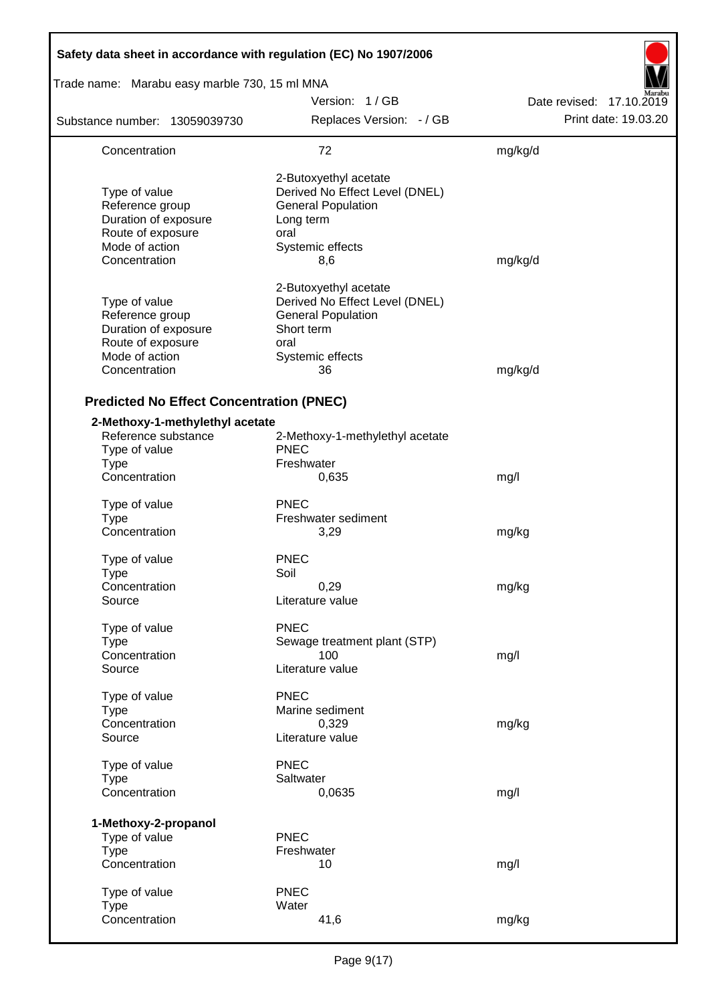| Safety data sheet in accordance with regulation (EC) No 1907/2006                                                |                                                                                                                                      |                          |
|------------------------------------------------------------------------------------------------------------------|--------------------------------------------------------------------------------------------------------------------------------------|--------------------------|
| Trade name: Marabu easy marble 730, 15 ml MNA                                                                    |                                                                                                                                      |                          |
|                                                                                                                  | Version: 1/GB                                                                                                                        | Date revised: 17.10.2019 |
| Substance number: 13059039730                                                                                    | Replaces Version: - / GB                                                                                                             | Print date: 19.03.20     |
| Concentration                                                                                                    | 72                                                                                                                                   | mg/kg/d                  |
| Type of value<br>Reference group<br>Duration of exposure<br>Route of exposure<br>Mode of action<br>Concentration | 2-Butoxyethyl acetate<br>Derived No Effect Level (DNEL)<br><b>General Population</b><br>Long term<br>oral<br>Systemic effects<br>8,6 | mg/kg/d                  |
| Type of value<br>Reference group<br>Duration of exposure<br>Route of exposure<br>Mode of action<br>Concentration | 2-Butoxyethyl acetate<br>Derived No Effect Level (DNEL)<br><b>General Population</b><br>Short term<br>oral<br>Systemic effects<br>36 | mg/kg/d                  |
| <b>Predicted No Effect Concentration (PNEC)</b>                                                                  |                                                                                                                                      |                          |
| 2-Methoxy-1-methylethyl acetate<br>Reference substance<br>Type of value<br><b>Type</b><br>Concentration          | 2-Methoxy-1-methylethyl acetate<br><b>PNEC</b><br>Freshwater<br>0,635                                                                | mg/l                     |
| Type of value<br><b>Type</b><br>Concentration                                                                    | <b>PNEC</b><br>Freshwater sediment<br>3,29                                                                                           | mg/kg                    |
| Type of value<br><b>Type</b><br>Concentration<br>Source                                                          | <b>PNEC</b><br>Soil<br>0,29<br>Literature value                                                                                      | mg/kg                    |
| Type of value<br><b>Type</b><br>Concentration<br>Source                                                          | <b>PNEC</b><br>Sewage treatment plant (STP)<br>100<br>Literature value                                                               | mg/l                     |
| Type of value<br><b>Type</b><br>Concentration<br>Source                                                          | <b>PNEC</b><br>Marine sediment<br>0,329<br>Literature value                                                                          | mg/kg                    |
| Type of value<br><b>Type</b><br>Concentration                                                                    | <b>PNEC</b><br>Saltwater<br>0,0635                                                                                                   | mg/l                     |
| 1-Methoxy-2-propanol<br>Type of value<br><b>Type</b><br>Concentration                                            | <b>PNEC</b><br>Freshwater<br>10                                                                                                      | mg/l                     |
| Type of value<br><b>Type</b><br>Concentration                                                                    | <b>PNEC</b><br>Water<br>41,6                                                                                                         | mg/kg                    |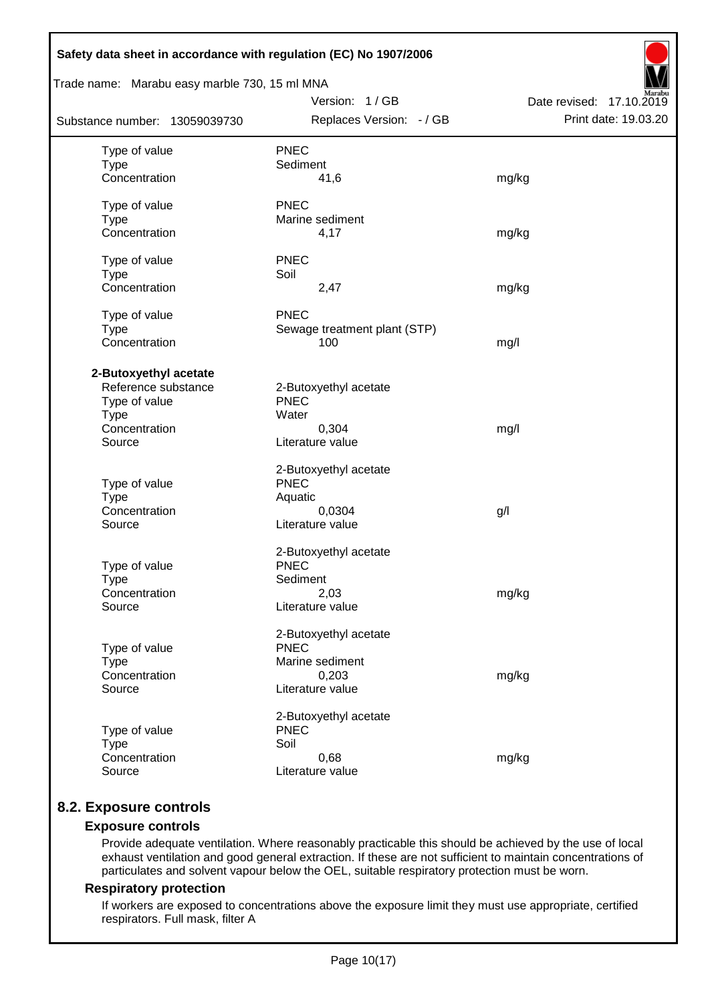| Safety data sheet in accordance with regulation (EC) No 1907/2006 |                              |                          |  |  |  |
|-------------------------------------------------------------------|------------------------------|--------------------------|--|--|--|
| Trade name: Marabu easy marble 730, 15 ml MNA                     |                              |                          |  |  |  |
|                                                                   | Version: 1/GB                | Date revised: 17.10.2019 |  |  |  |
| Substance number: 13059039730                                     | Replaces Version: - / GB     | Print date: 19.03.20     |  |  |  |
| Type of value                                                     | <b>PNEC</b>                  |                          |  |  |  |
| <b>Type</b>                                                       | Sediment                     |                          |  |  |  |
| Concentration                                                     | 41,6                         | mg/kg                    |  |  |  |
| Type of value                                                     | <b>PNEC</b>                  |                          |  |  |  |
| <b>Type</b>                                                       | Marine sediment              |                          |  |  |  |
| Concentration                                                     | 4,17                         | mg/kg                    |  |  |  |
| Type of value                                                     | <b>PNEC</b>                  |                          |  |  |  |
| <b>Type</b>                                                       | Soil                         |                          |  |  |  |
| Concentration                                                     | 2,47                         | mg/kg                    |  |  |  |
| Type of value                                                     | <b>PNEC</b>                  |                          |  |  |  |
| <b>Type</b>                                                       | Sewage treatment plant (STP) |                          |  |  |  |
| Concentration                                                     | 100                          | mg/l                     |  |  |  |
| 2-Butoxyethyl acetate                                             |                              |                          |  |  |  |
| Reference substance                                               | 2-Butoxyethyl acetate        |                          |  |  |  |
| Type of value                                                     | <b>PNEC</b>                  |                          |  |  |  |
| <b>Type</b>                                                       | Water                        |                          |  |  |  |
| Concentration                                                     | 0,304                        | mg/l                     |  |  |  |
| Source                                                            | Literature value             |                          |  |  |  |
|                                                                   | 2-Butoxyethyl acetate        |                          |  |  |  |
| Type of value                                                     | <b>PNEC</b>                  |                          |  |  |  |
| <b>Type</b>                                                       | Aquatic                      |                          |  |  |  |
| Concentration                                                     | 0,0304                       | g/l                      |  |  |  |
| Source                                                            | Literature value             |                          |  |  |  |
|                                                                   | 2-Butoxyethyl acetate        |                          |  |  |  |
| Type of value                                                     | <b>PNEC</b>                  |                          |  |  |  |
| <b>Type</b>                                                       | Sediment                     |                          |  |  |  |
| Concentration                                                     | 2,03                         | mg/kg                    |  |  |  |
| Source                                                            | Literature value             |                          |  |  |  |
|                                                                   | 2-Butoxyethyl acetate        |                          |  |  |  |
| Type of value                                                     | <b>PNEC</b>                  |                          |  |  |  |
| <b>Type</b>                                                       | Marine sediment              |                          |  |  |  |
| Concentration                                                     | 0,203                        | mg/kg                    |  |  |  |
| Source                                                            | Literature value             |                          |  |  |  |
|                                                                   | 2-Butoxyethyl acetate        |                          |  |  |  |
| Type of value                                                     | <b>PNEC</b>                  |                          |  |  |  |
| <b>Type</b>                                                       | Soil                         |                          |  |  |  |
| Concentration                                                     | 0,68                         | mg/kg                    |  |  |  |
| Source                                                            | Literature value             |                          |  |  |  |
|                                                                   |                              |                          |  |  |  |

# **8.2. Exposure controls**

### **Exposure controls**

Provide adequate ventilation. Where reasonably practicable this should be achieved by the use of local exhaust ventilation and good general extraction. If these are not sufficient to maintain concentrations of particulates and solvent vapour below the OEL, suitable respiratory protection must be worn.

#### **Respiratory protection**

If workers are exposed to concentrations above the exposure limit they must use appropriate, certified respirators. Full mask, filter A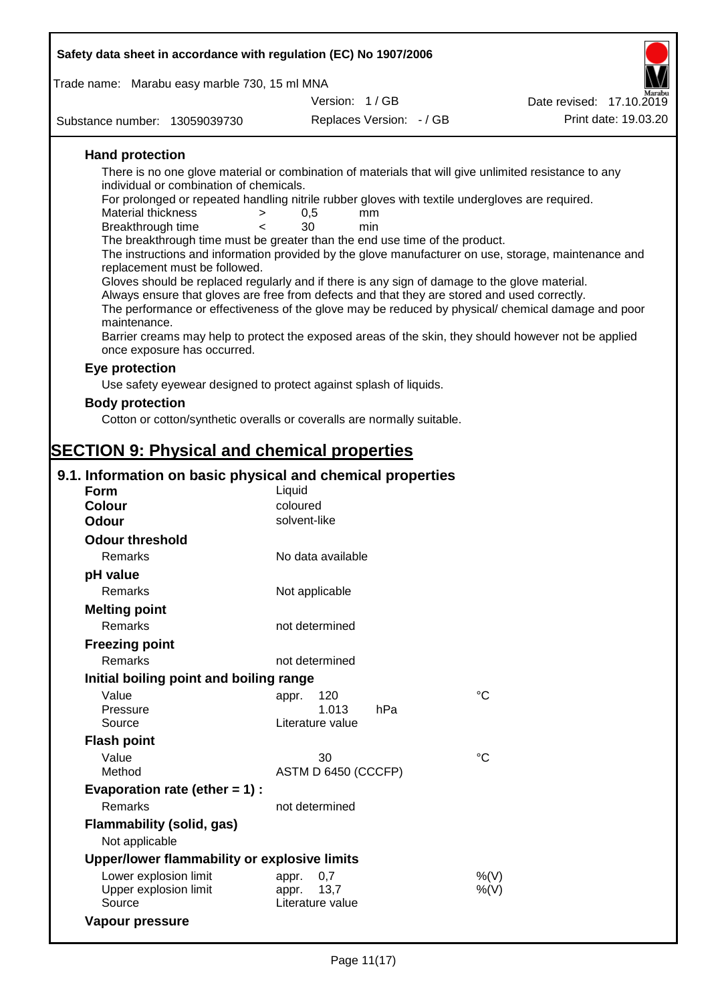| Safety data sheet in accordance with regulation (EC) No 1907/2006                                                                                                                                  |                          |                          |             |                          |
|----------------------------------------------------------------------------------------------------------------------------------------------------------------------------------------------------|--------------------------|--------------------------|-------------|--------------------------|
| Trade name: Marabu easy marble 730, 15 ml MNA                                                                                                                                                      |                          |                          |             |                          |
|                                                                                                                                                                                                    | Version: 1/GB            |                          |             | Date revised: 17.10.2019 |
| Substance number: 13059039730                                                                                                                                                                      |                          | Replaces Version: - / GB |             | Print date: 19.03.20     |
| <b>Hand protection</b>                                                                                                                                                                             |                          |                          |             |                          |
| There is no one glove material or combination of materials that will give unlimited resistance to any                                                                                              |                          |                          |             |                          |
| individual or combination of chemicals.<br>For prolonged or repeated handling nitrile rubber gloves with textile undergloves are required.                                                         |                          |                          |             |                          |
| <b>Material thickness</b><br>$\geq$                                                                                                                                                                | 0,5                      | mm                       |             |                          |
| Breakthrough time<br>$\overline{\phantom{0}}$                                                                                                                                                      | 30                       | min                      |             |                          |
| The breakthrough time must be greater than the end use time of the product.<br>The instructions and information provided by the glove manufacturer on use, storage, maintenance and                |                          |                          |             |                          |
| replacement must be followed.                                                                                                                                                                      |                          |                          |             |                          |
| Gloves should be replaced regularly and if there is any sign of damage to the glove material.                                                                                                      |                          |                          |             |                          |
| Always ensure that gloves are free from defects and that they are stored and used correctly.<br>The performance or effectiveness of the glove may be reduced by physical/ chemical damage and poor |                          |                          |             |                          |
| maintenance.                                                                                                                                                                                       |                          |                          |             |                          |
| Barrier creams may help to protect the exposed areas of the skin, they should however not be applied<br>once exposure has occurred.                                                                |                          |                          |             |                          |
| Eye protection                                                                                                                                                                                     |                          |                          |             |                          |
| Use safety eyewear designed to protect against splash of liquids.                                                                                                                                  |                          |                          |             |                          |
| <b>Body protection</b>                                                                                                                                                                             |                          |                          |             |                          |
| Cotton or cotton/synthetic overalls or coveralls are normally suitable.                                                                                                                            |                          |                          |             |                          |
|                                                                                                                                                                                                    |                          |                          |             |                          |
| <b>SECTION 9: Physical and chemical properties</b>                                                                                                                                                 |                          |                          |             |                          |
| 9.1. Information on basic physical and chemical properties                                                                                                                                         |                          |                          |             |                          |
| <b>Form</b>                                                                                                                                                                                        | Liquid                   |                          |             |                          |
| <b>Colour</b><br><b>Odour</b>                                                                                                                                                                      | coloured<br>solvent-like |                          |             |                          |
| <b>Odour threshold</b>                                                                                                                                                                             |                          |                          |             |                          |
| Remarks                                                                                                                                                                                            | No data available        |                          |             |                          |
| pH value                                                                                                                                                                                           |                          |                          |             |                          |
| Remarks                                                                                                                                                                                            | Not applicable           |                          |             |                          |
| <b>Melting point</b>                                                                                                                                                                               |                          |                          |             |                          |
| Remarks                                                                                                                                                                                            | not determined           |                          |             |                          |
| <b>Freezing point</b>                                                                                                                                                                              |                          |                          |             |                          |
| Remarks                                                                                                                                                                                            | not determined           |                          |             |                          |
| Initial boiling point and boiling range                                                                                                                                                            |                          |                          |             |                          |
| Value                                                                                                                                                                                              | 120<br>appr.             |                          | °C          |                          |
| Pressure                                                                                                                                                                                           | 1.013                    | hPa                      |             |                          |
| Source                                                                                                                                                                                             | Literature value         |                          |             |                          |
| <b>Flash point</b><br>Value                                                                                                                                                                        | 30                       |                          | $^{\circ}C$ |                          |
| Method                                                                                                                                                                                             | ASTM D 6450 (CCCFP)      |                          |             |                          |
| Evaporation rate (ether $= 1$ ) :                                                                                                                                                                  |                          |                          |             |                          |
| <b>Remarks</b>                                                                                                                                                                                     | not determined           |                          |             |                          |
| <b>Flammability (solid, gas)</b><br>Not applicable                                                                                                                                                 |                          |                          |             |                          |
| Upper/lower flammability or explosive limits                                                                                                                                                       |                          |                          |             |                          |

| Opper/lower Hammability of explosive illilits |                  |      |
|-----------------------------------------------|------------------|------|
| Lower explosion limit                         | appr. 0.7        | %(V) |
| Upper explosion limit                         | appr. 13.7       | %(V) |
| Source                                        | Literature value |      |
| Vapour pressure                               |                  |      |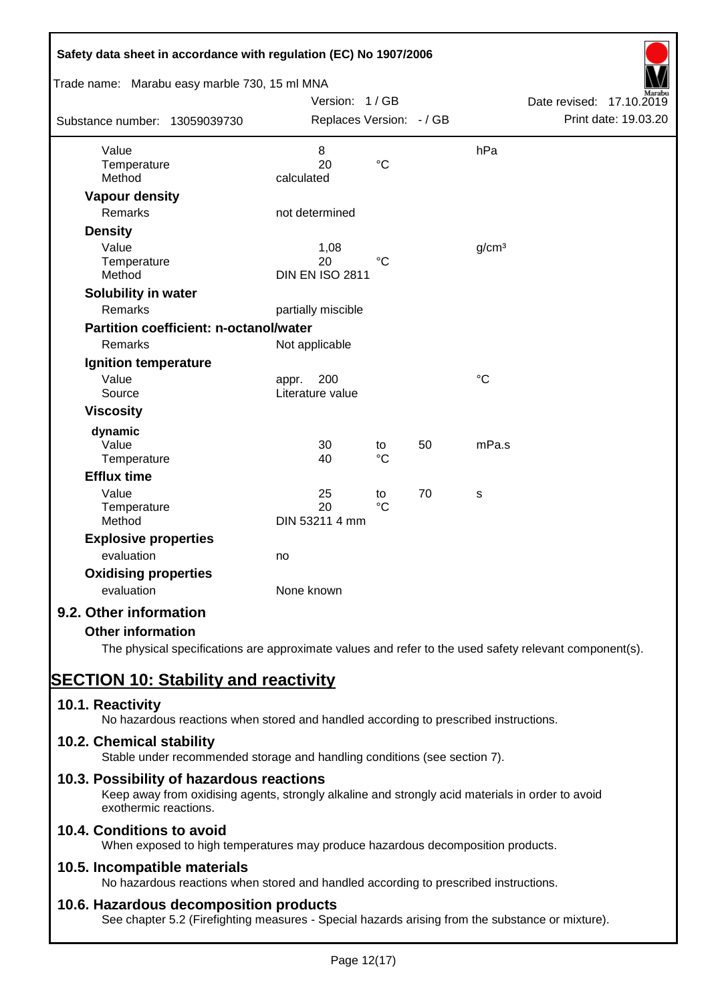| Safety data sheet in accordance with regulation (EC) No 1907/2006<br>Trade name: Marabu easy marble 730, 15 ml MNA |                                      |                       |    |                   |                          |
|--------------------------------------------------------------------------------------------------------------------|--------------------------------------|-----------------------|----|-------------------|--------------------------|
|                                                                                                                    | Version: 1/GB                        |                       |    |                   | Date revised: 17.10.2019 |
| Substance number: 13059039730                                                                                      | Replaces Version: - / GB             |                       |    |                   | Print date: 19.03.20     |
| Value<br>Temperature<br>Method                                                                                     | 8<br>20<br>calculated                | $\rm ^{\circ}C$       |    | hPa               |                          |
| <b>Vapour density</b>                                                                                              |                                      |                       |    |                   |                          |
| Remarks                                                                                                            | not determined                       |                       |    |                   |                          |
| <b>Density</b>                                                                                                     |                                      |                       |    |                   |                          |
| Value<br>Temperature<br>Method                                                                                     | 1,08<br>20<br><b>DIN EN ISO 2811</b> | $^{\circ}C$           |    | g/cm <sup>3</sup> |                          |
| Solubility in water                                                                                                |                                      |                       |    |                   |                          |
| Remarks                                                                                                            | partially miscible                   |                       |    |                   |                          |
| <b>Partition coefficient: n-octanol/water</b>                                                                      |                                      |                       |    |                   |                          |
| Remarks                                                                                                            | Not applicable                       |                       |    |                   |                          |
| Ignition temperature                                                                                               |                                      |                       |    |                   |                          |
| Value<br>Source                                                                                                    | 200<br>appr.<br>Literature value     |                       |    | $\rm ^{\circ}C$   |                          |
| <b>Viscosity</b>                                                                                                   |                                      |                       |    |                   |                          |
| dynamic<br>Value<br>Temperature                                                                                    | 30<br>40                             | to<br>$^{\circ}C$     | 50 | mPa.s             |                          |
| <b>Efflux time</b>                                                                                                 |                                      |                       |    |                   |                          |
| Value<br>Temperature<br>Method                                                                                     | 25<br>20<br>DIN 53211 4 mm           | to<br>$\rm ^{\circ}C$ | 70 | S                 |                          |
| <b>Explosive properties</b>                                                                                        |                                      |                       |    |                   |                          |
| evaluation                                                                                                         | no                                   |                       |    |                   |                          |
| <b>Oxidising properties</b><br>evaluation                                                                          | None known                           |                       |    |                   |                          |
| 9.2. Other information                                                                                             |                                      |                       |    |                   |                          |
| <b>Other information</b>                                                                                           |                                      |                       |    |                   |                          |

The physical specifications are approximate values and refer to the used safety relevant component(s).

# **SECTION 10: Stability and reactivity**

# **10.1. Reactivity**

No hazardous reactions when stored and handled according to prescribed instructions.

# **10.2. Chemical stability**

Stable under recommended storage and handling conditions (see section 7).

# **10.3. Possibility of hazardous reactions**

Keep away from oxidising agents, strongly alkaline and strongly acid materials in order to avoid exothermic reactions.

# **10.4. Conditions to avoid**

When exposed to high temperatures may produce hazardous decomposition products.

# **10.5. Incompatible materials**

No hazardous reactions when stored and handled according to prescribed instructions.

# **10.6. Hazardous decomposition products**

See chapter 5.2 (Firefighting measures - Special hazards arising from the substance or mixture).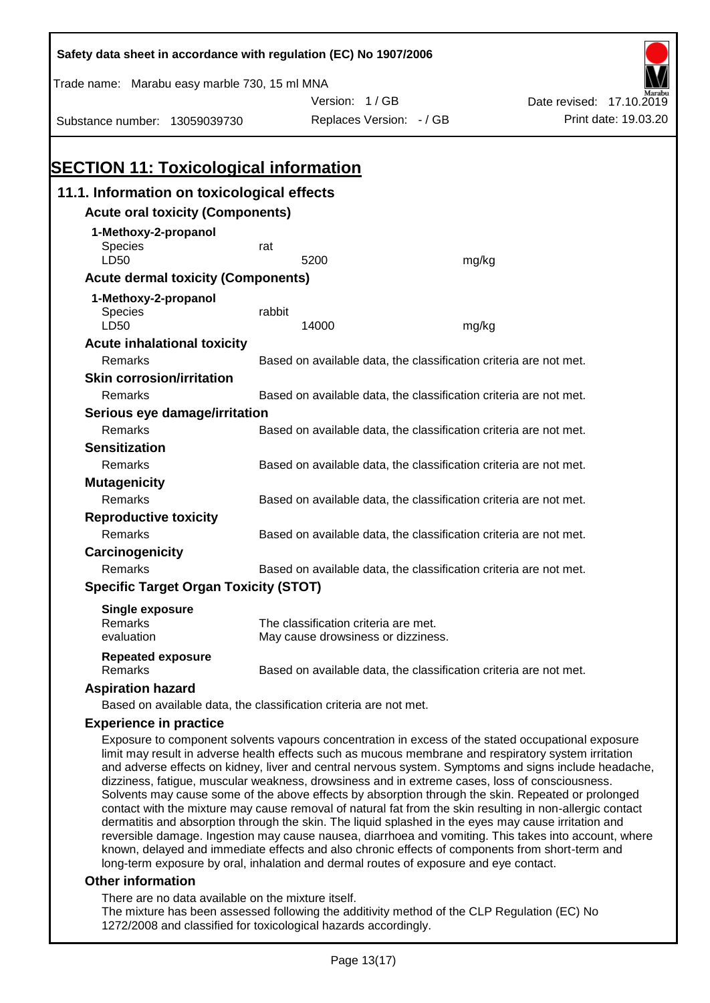| Safety data sheet in accordance with regulation (EC) No 1907/2006                                    |                                                                   |                                                                   |       |                                                                                                    |  |  |
|------------------------------------------------------------------------------------------------------|-------------------------------------------------------------------|-------------------------------------------------------------------|-------|----------------------------------------------------------------------------------------------------|--|--|
| Trade name: Marabu easy marble 730, 15 ml MNA                                                        |                                                                   |                                                                   |       |                                                                                                    |  |  |
|                                                                                                      |                                                                   | Version: 1/GB                                                     |       | Date revised: 17.10.2019                                                                           |  |  |
| Substance number: 13059039730                                                                        |                                                                   | Replaces Version: - / GB                                          |       | Print date: 19.03.20                                                                               |  |  |
|                                                                                                      |                                                                   |                                                                   |       |                                                                                                    |  |  |
|                                                                                                      |                                                                   |                                                                   |       |                                                                                                    |  |  |
| <b>SECTION 11: Toxicological information</b>                                                         |                                                                   |                                                                   |       |                                                                                                    |  |  |
| 11.1. Information on toxicological effects                                                           |                                                                   |                                                                   |       |                                                                                                    |  |  |
| <b>Acute oral toxicity (Components)</b>                                                              |                                                                   |                                                                   |       |                                                                                                    |  |  |
| 1-Methoxy-2-propanol                                                                                 |                                                                   |                                                                   |       |                                                                                                    |  |  |
| <b>Species</b>                                                                                       | rat                                                               |                                                                   |       |                                                                                                    |  |  |
| LD50                                                                                                 |                                                                   | 5200                                                              | mg/kg |                                                                                                    |  |  |
| <b>Acute dermal toxicity (Components)</b>                                                            |                                                                   |                                                                   |       |                                                                                                    |  |  |
| 1-Methoxy-2-propanol                                                                                 |                                                                   |                                                                   |       |                                                                                                    |  |  |
| Species                                                                                              | rabbit                                                            |                                                                   |       |                                                                                                    |  |  |
| LD50                                                                                                 |                                                                   | 14000                                                             | mg/kg |                                                                                                    |  |  |
| <b>Acute inhalational toxicity</b>                                                                   |                                                                   |                                                                   |       |                                                                                                    |  |  |
| Remarks                                                                                              |                                                                   | Based on available data, the classification criteria are not met. |       |                                                                                                    |  |  |
| <b>Skin corrosion/irritation</b>                                                                     |                                                                   |                                                                   |       |                                                                                                    |  |  |
| Remarks                                                                                              |                                                                   | Based on available data, the classification criteria are not met. |       |                                                                                                    |  |  |
| Serious eye damage/irritation                                                                        |                                                                   |                                                                   |       |                                                                                                    |  |  |
| Remarks                                                                                              | Based on available data, the classification criteria are not met. |                                                                   |       |                                                                                                    |  |  |
| <b>Sensitization</b>                                                                                 |                                                                   |                                                                   |       |                                                                                                    |  |  |
| Remarks                                                                                              |                                                                   | Based on available data, the classification criteria are not met. |       |                                                                                                    |  |  |
| <b>Mutagenicity</b>                                                                                  |                                                                   |                                                                   |       |                                                                                                    |  |  |
| Remarks                                                                                              |                                                                   | Based on available data, the classification criteria are not met. |       |                                                                                                    |  |  |
| <b>Reproductive toxicity</b>                                                                         |                                                                   |                                                                   |       |                                                                                                    |  |  |
| Remarks                                                                                              |                                                                   | Based on available data, the classification criteria are not met. |       |                                                                                                    |  |  |
| Carcinogenicity                                                                                      |                                                                   |                                                                   |       |                                                                                                    |  |  |
| Remarks                                                                                              |                                                                   | Based on available data, the classification criteria are not met. |       |                                                                                                    |  |  |
| <b>Specific Target Organ Toxicity (STOT)</b>                                                         |                                                                   |                                                                   |       |                                                                                                    |  |  |
| <b>Single exposure</b>                                                                               |                                                                   |                                                                   |       |                                                                                                    |  |  |
| Remarks                                                                                              |                                                                   | The classification criteria are met.                              |       |                                                                                                    |  |  |
| evaluation                                                                                           |                                                                   | May cause drowsiness or dizziness.                                |       |                                                                                                    |  |  |
| <b>Repeated exposure</b><br>Remarks                                                                  |                                                                   | Based on available data, the classification criteria are not met. |       |                                                                                                    |  |  |
| <b>Aspiration hazard</b>                                                                             |                                                                   |                                                                   |       |                                                                                                    |  |  |
| Based on available data, the classification criteria are not met.                                    |                                                                   |                                                                   |       |                                                                                                    |  |  |
| <b>Experience in practice</b>                                                                        |                                                                   |                                                                   |       |                                                                                                    |  |  |
| limit may result in adverse health effects such as mucous membrane and respiratory system irritation |                                                                   |                                                                   |       | Exposure to component solvents vapours concentration in excess of the stated occupational exposure |  |  |

and adverse effects on kidney, liver and central nervous system. Symptoms and signs include headache, dizziness, fatigue, muscular weakness, drowsiness and in extreme cases, loss of consciousness. Solvents may cause some of the above effects by absorption through the skin. Repeated or prolonged contact with the mixture may cause removal of natural fat from the skin resulting in non-allergic contact dermatitis and absorption through the skin. The liquid splashed in the eyes may cause irritation and reversible damage. Ingestion may cause nausea, diarrhoea and vomiting. This takes into account, where known, delayed and immediate effects and also chronic effects of components from short-term and long-term exposure by oral, inhalation and dermal routes of exposure and eye contact.

#### **Other information**

There are no data available on the mixture itself.

The mixture has been assessed following the additivity method of the CLP Regulation (EC) No 1272/2008 and classified for toxicological hazards accordingly.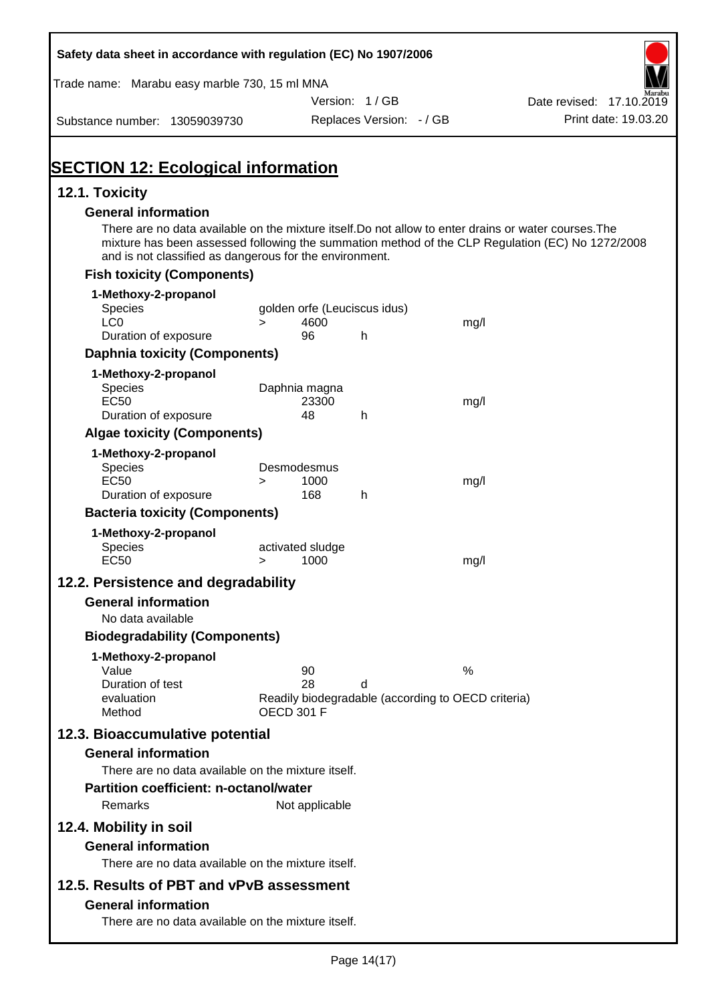| Trade name: Marabu easy marble 730, 15 ml MNA                                                         |        |                              |                          |                                                    |                                                                                                  |
|-------------------------------------------------------------------------------------------------------|--------|------------------------------|--------------------------|----------------------------------------------------|--------------------------------------------------------------------------------------------------|
|                                                                                                       |        |                              | Version: 1/GB            |                                                    | Date revised: 17.10.2019                                                                         |
| Substance number: 13059039730                                                                         |        |                              | Replaces Version: - / GB |                                                    | Print date: 19.03.20                                                                             |
|                                                                                                       |        |                              |                          |                                                    |                                                                                                  |
| <b>SECTION 12: Ecological information</b>                                                             |        |                              |                          |                                                    |                                                                                                  |
| 12.1. Toxicity<br><b>General information</b>                                                          |        |                              |                          |                                                    |                                                                                                  |
| There are no data available on the mixture itself. Do not allow to enter drains or water courses. The |        |                              |                          |                                                    | mixture has been assessed following the summation method of the CLP Regulation (EC) No 1272/2008 |
| and is not classified as dangerous for the environment.<br><b>Fish toxicity (Components)</b>          |        |                              |                          |                                                    |                                                                                                  |
| 1-Methoxy-2-propanol                                                                                  |        |                              |                          |                                                    |                                                                                                  |
| Species                                                                                               |        | golden orfe (Leuciscus idus) |                          |                                                    |                                                                                                  |
| LC <sub>0</sub>                                                                                       | $\geq$ | 4600                         |                          | mg/l                                               |                                                                                                  |
| Duration of exposure                                                                                  |        | 96                           | h                        |                                                    |                                                                                                  |
| <b>Daphnia toxicity (Components)</b>                                                                  |        |                              |                          |                                                    |                                                                                                  |
| 1-Methoxy-2-propanol                                                                                  |        |                              |                          |                                                    |                                                                                                  |
| <b>Species</b><br><b>EC50</b>                                                                         |        | Daphnia magna<br>23300       |                          | mg/l                                               |                                                                                                  |
| Duration of exposure                                                                                  |        | 48                           | h                        |                                                    |                                                                                                  |
| <b>Algae toxicity (Components)</b>                                                                    |        |                              |                          |                                                    |                                                                                                  |
| 1-Methoxy-2-propanol                                                                                  |        |                              |                          |                                                    |                                                                                                  |
| <b>Species</b>                                                                                        |        | Desmodesmus                  |                          |                                                    |                                                                                                  |
| <b>EC50</b><br>Duration of exposure                                                                   | $\geq$ | 1000<br>168                  | h                        | mg/l                                               |                                                                                                  |
| <b>Bacteria toxicity (Components)</b>                                                                 |        |                              |                          |                                                    |                                                                                                  |
| 1-Methoxy-2-propanol                                                                                  |        |                              |                          |                                                    |                                                                                                  |
| Species                                                                                               |        | activated sludge             |                          |                                                    |                                                                                                  |
| <b>EC50</b>                                                                                           | $\geq$ | 1000                         |                          | mg/l                                               |                                                                                                  |
| 12.2. Persistence and degradability                                                                   |        |                              |                          |                                                    |                                                                                                  |
| <b>General information</b>                                                                            |        |                              |                          |                                                    |                                                                                                  |
| No data available                                                                                     |        |                              |                          |                                                    |                                                                                                  |
| <b>Biodegradability (Components)</b>                                                                  |        |                              |                          |                                                    |                                                                                                  |
| 1-Methoxy-2-propanol                                                                                  |        |                              |                          |                                                    |                                                                                                  |
| Value                                                                                                 |        | 90                           |                          | %                                                  |                                                                                                  |
| Duration of test<br>evaluation                                                                        |        | 28                           | d                        | Readily biodegradable (according to OECD criteria) |                                                                                                  |
| Method                                                                                                |        | <b>OECD 301 F</b>            |                          |                                                    |                                                                                                  |
| 12.3. Bioaccumulative potential                                                                       |        |                              |                          |                                                    |                                                                                                  |
| <b>General information</b>                                                                            |        |                              |                          |                                                    |                                                                                                  |
| There are no data available on the mixture itself.                                                    |        |                              |                          |                                                    |                                                                                                  |
| <b>Partition coefficient: n-octanol/water</b>                                                         |        |                              |                          |                                                    |                                                                                                  |
| Remarks                                                                                               |        | Not applicable               |                          |                                                    |                                                                                                  |
| 12.4. Mobility in soil                                                                                |        |                              |                          |                                                    |                                                                                                  |
| <b>General information</b>                                                                            |        |                              |                          |                                                    |                                                                                                  |
| There are no data available on the mixture itself.                                                    |        |                              |                          |                                                    |                                                                                                  |
| 12.5. Results of PBT and vPvB assessment                                                              |        |                              |                          |                                                    |                                                                                                  |
| <b>General information</b>                                                                            |        |                              |                          |                                                    |                                                                                                  |
| There are no data available on the mixture itself.                                                    |        |                              |                          |                                                    |                                                                                                  |
|                                                                                                       |        |                              |                          |                                                    |                                                                                                  |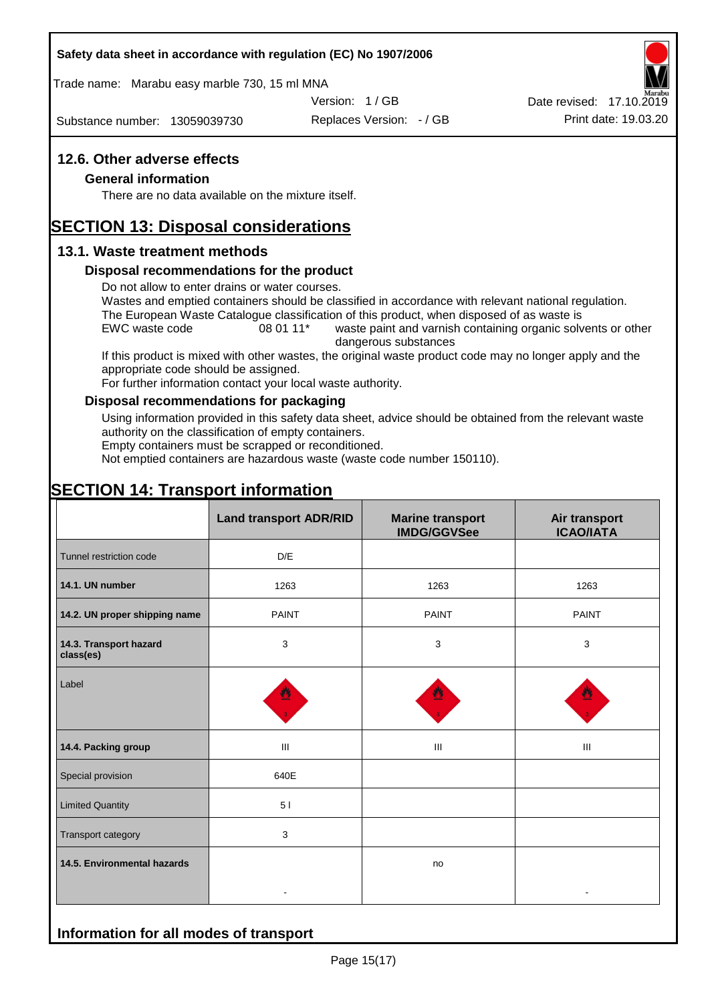#### **Safety data sheet in accordance with regulation (EC) No 1907/2006**

Trade name: Marabu easy marble 730, 15 ml MNA

Version: 1 / GB

Substance number: 13059039730

Replaces Version: - / GB Print date: 19.03.20 Date revised: 17.10.2019

#### **12.6. Other adverse effects**

#### **General information**

There are no data available on the mixture itself.

# **SECTION 13: Disposal considerations**

#### **13.1. Waste treatment methods**

#### **Disposal recommendations for the product**

Do not allow to enter drains or water courses.

Wastes and emptied containers should be classified in accordance with relevant national regulation. The European Waste Catalogue classification of this product, when disposed of as waste is

EWC waste code 08 01 11<sup>\*</sup> waste paint and varnish containing organic solvents or other dangerous substances

If this product is mixed with other wastes, the original waste product code may no longer apply and the appropriate code should be assigned.

For further information contact your local waste authority.

#### **Disposal recommendations for packaging**

Using information provided in this safety data sheet, advice should be obtained from the relevant waste authority on the classification of empty containers.

Empty containers must be scrapped or reconditioned.

Not emptied containers are hazardous waste (waste code number 150110).

# **SECTION 14: Transport information**

**Information for all modes of transport**

|                                     | <b>Land transport ADR/RID</b> | <b>Marine transport</b><br><b>IMDG/GGVSee</b> | Air transport<br><b>ICAO/IATA</b> |  |
|-------------------------------------|-------------------------------|-----------------------------------------------|-----------------------------------|--|
| Tunnel restriction code             | D/E                           |                                               |                                   |  |
| 14.1. UN number                     | 1263                          | 1263                                          |                                   |  |
| 14.2. UN proper shipping name       | <b>PAINT</b>                  | <b>PAINT</b>                                  | <b>PAINT</b>                      |  |
| 14.3. Transport hazard<br>class(es) | 3                             | $\mathbf{3}$                                  | 3                                 |  |
| Label                               |                               |                                               |                                   |  |
| 14.4. Packing group                 | Ш                             | Ш                                             | Ш                                 |  |
| Special provision                   | 640E                          |                                               |                                   |  |
| <b>Limited Quantity</b>             | 5 <sub>1</sub>                |                                               |                                   |  |
| Transport category                  | $\mathbf{3}$                  |                                               |                                   |  |
| 14.5. Environmental hazards         |                               | no                                            |                                   |  |
|                                     |                               |                                               |                                   |  |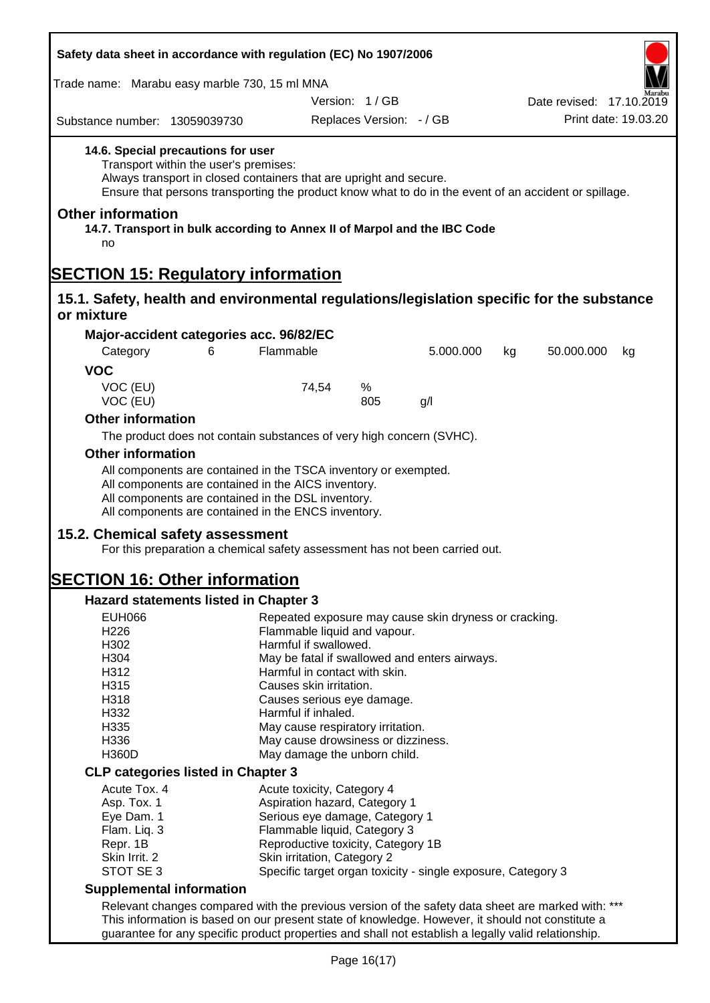| Safety data sheet in accordance with regulation (EC) No 1907/2006                         |                                                                                                                                                                                                                                                            |                                                       |                          |                                                              |    |                          |                      |
|-------------------------------------------------------------------------------------------|------------------------------------------------------------------------------------------------------------------------------------------------------------------------------------------------------------------------------------------------------------|-------------------------------------------------------|--------------------------|--------------------------------------------------------------|----|--------------------------|----------------------|
| Trade name: Marabu easy marble 730, 15 ml MNA                                             |                                                                                                                                                                                                                                                            |                                                       |                          |                                                              |    |                          |                      |
|                                                                                           |                                                                                                                                                                                                                                                            |                                                       | Version: 1/GB            |                                                              |    | Date revised: 17.10.2019 |                      |
| Substance number: 13059039730                                                             |                                                                                                                                                                                                                                                            |                                                       | Replaces Version: - / GB |                                                              |    |                          | Print date: 19.03.20 |
|                                                                                           | 14.6. Special precautions for user<br>Transport within the user's premises:<br>Always transport in closed containers that are upright and secure.<br>Ensure that persons transporting the product know what to do in the event of an accident or spillage. |                                                       |                          |                                                              |    |                          |                      |
| <b>Other information</b><br>no                                                            | 14.7. Transport in bulk according to Annex II of Marpol and the IBC Code                                                                                                                                                                                   |                                                       |                          |                                                              |    |                          |                      |
| <b>SECTION 15: Regulatory information</b>                                                 |                                                                                                                                                                                                                                                            |                                                       |                          |                                                              |    |                          |                      |
| 15.1. Safety, health and environmental regulations/legislation specific for the substance |                                                                                                                                                                                                                                                            |                                                       |                          |                                                              |    |                          |                      |
| or mixture                                                                                |                                                                                                                                                                                                                                                            |                                                       |                          |                                                              |    |                          |                      |
|                                                                                           | Major-accident categories acc. 96/82/EC                                                                                                                                                                                                                    |                                                       |                          |                                                              |    |                          |                      |
| Category                                                                                  | 6                                                                                                                                                                                                                                                          | Flammable                                             |                          | 5.000.000                                                    | kg | 50.000.000               | kg                   |
| <b>VOC</b>                                                                                |                                                                                                                                                                                                                                                            |                                                       |                          |                                                              |    |                          |                      |
| VOC (EU)<br>VOC (EU)                                                                      |                                                                                                                                                                                                                                                            | 74,54                                                 | %<br>805                 | g/l                                                          |    |                          |                      |
| <b>Other information</b>                                                                  |                                                                                                                                                                                                                                                            |                                                       |                          |                                                              |    |                          |                      |
|                                                                                           | The product does not contain substances of very high concern (SVHC).                                                                                                                                                                                       |                                                       |                          |                                                              |    |                          |                      |
| <b>Other information</b>                                                                  |                                                                                                                                                                                                                                                            |                                                       |                          |                                                              |    |                          |                      |
|                                                                                           | All components are contained in the TSCA inventory or exempted.                                                                                                                                                                                            |                                                       |                          |                                                              |    |                          |                      |
|                                                                                           | All components are contained in the AICS inventory.<br>All components are contained in the DSL inventory.<br>All components are contained in the ENCS inventory.                                                                                           |                                                       |                          |                                                              |    |                          |                      |
| 15.2. Chemical safety assessment                                                          | For this preparation a chemical safety assessment has not been carried out.                                                                                                                                                                                |                                                       |                          |                                                              |    |                          |                      |
| <b>SECTION 16: Other information</b>                                                      |                                                                                                                                                                                                                                                            |                                                       |                          |                                                              |    |                          |                      |
|                                                                                           | Hazard statements listed in Chapter 3                                                                                                                                                                                                                      |                                                       |                          |                                                              |    |                          |                      |
| <b>EUH066</b>                                                                             |                                                                                                                                                                                                                                                            |                                                       |                          | Repeated exposure may cause skin dryness or cracking.        |    |                          |                      |
| H226                                                                                      |                                                                                                                                                                                                                                                            | Flammable liquid and vapour.                          |                          |                                                              |    |                          |                      |
| H302                                                                                      |                                                                                                                                                                                                                                                            | Harmful if swallowed.                                 |                          |                                                              |    |                          |                      |
| H304<br>H312                                                                              |                                                                                                                                                                                                                                                            | Harmful in contact with skin.                         |                          | May be fatal if swallowed and enters airways.                |    |                          |                      |
| H315                                                                                      |                                                                                                                                                                                                                                                            |                                                       |                          |                                                              |    |                          |                      |
| H318                                                                                      |                                                                                                                                                                                                                                                            | Causes skin irritation.<br>Causes serious eye damage. |                          |                                                              |    |                          |                      |
| H332                                                                                      |                                                                                                                                                                                                                                                            | Harmful if inhaled.                                   |                          |                                                              |    |                          |                      |
| H335                                                                                      |                                                                                                                                                                                                                                                            | May cause respiratory irritation.                     |                          |                                                              |    |                          |                      |
| H336                                                                                      |                                                                                                                                                                                                                                                            | May cause drowsiness or dizziness.                    |                          |                                                              |    |                          |                      |
| <b>H360D</b>                                                                              |                                                                                                                                                                                                                                                            | May damage the unborn child.                          |                          |                                                              |    |                          |                      |
|                                                                                           | <b>CLP categories listed in Chapter 3</b>                                                                                                                                                                                                                  |                                                       |                          |                                                              |    |                          |                      |
| Acute Tox. 4                                                                              |                                                                                                                                                                                                                                                            | Acute toxicity, Category 4                            |                          |                                                              |    |                          |                      |
| Asp. Tox. 1                                                                               |                                                                                                                                                                                                                                                            | Aspiration hazard, Category 1                         |                          |                                                              |    |                          |                      |
| Eye Dam. 1                                                                                |                                                                                                                                                                                                                                                            | Serious eye damage, Category 1                        |                          |                                                              |    |                          |                      |
| Flam. Liq. 3                                                                              |                                                                                                                                                                                                                                                            | Flammable liquid, Category 3                          |                          |                                                              |    |                          |                      |
| Repr. 1B                                                                                  |                                                                                                                                                                                                                                                            | Reproductive toxicity, Category 1B                    |                          |                                                              |    |                          |                      |
| Skin Irrit. 2                                                                             |                                                                                                                                                                                                                                                            | Skin irritation, Category 2                           |                          |                                                              |    |                          |                      |
| STOT SE 3                                                                                 |                                                                                                                                                                                                                                                            |                                                       |                          | Specific target organ toxicity - single exposure, Category 3 |    |                          |                      |
| <b>Supplemental information</b>                                                           |                                                                                                                                                                                                                                                            |                                                       |                          |                                                              |    |                          |                      |
|                                                                                           | Relevant changes compared with the previous version of the safety data sheet are marked with: ***                                                                                                                                                          |                                                       |                          |                                                              |    |                          |                      |
|                                                                                           | This information is based on our present state of knowledge. However, it should not constitute a<br>guarantee for any specific product properties and shall not establish a legally valid relationship.                                                    |                                                       |                          |                                                              |    |                          |                      |
|                                                                                           |                                                                                                                                                                                                                                                            |                                                       |                          |                                                              |    |                          |                      |